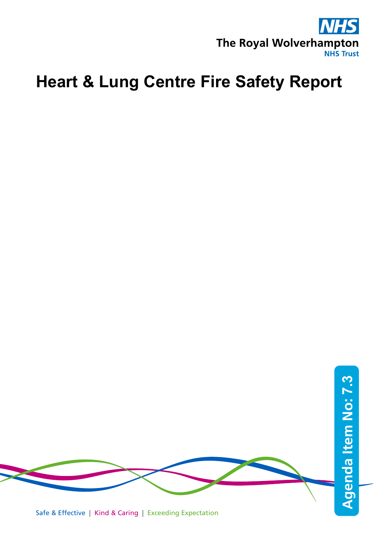

# **Heart & Lung Centre Fire Safety Report**

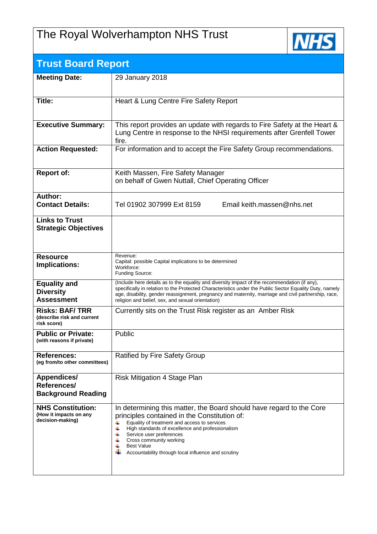## The Royal Wolverhampton NHS Trust



| <b>Trust Board Report</b>                                              |                                                                                                                                                                                                                                                                                                                                                                            |
|------------------------------------------------------------------------|----------------------------------------------------------------------------------------------------------------------------------------------------------------------------------------------------------------------------------------------------------------------------------------------------------------------------------------------------------------------------|
| <b>Meeting Date:</b>                                                   | 29 January 2018                                                                                                                                                                                                                                                                                                                                                            |
| Title:                                                                 | Heart & Lung Centre Fire Safety Report                                                                                                                                                                                                                                                                                                                                     |
| <b>Executive Summary:</b>                                              | This report provides an update with regards to Fire Safety at the Heart &<br>Lung Centre in response to the NHSI requirements after Grenfell Tower<br>fire.                                                                                                                                                                                                                |
| <b>Action Requested:</b>                                               | For information and to accept the Fire Safety Group recommendations.                                                                                                                                                                                                                                                                                                       |
| <b>Report of:</b>                                                      | Keith Massen, Fire Safety Manager<br>on behalf of Gwen Nuttall, Chief Operating Officer                                                                                                                                                                                                                                                                                    |
| Author:<br><b>Contact Details:</b>                                     | Tel 01902 307999 Ext 8159<br>Email keith.massen@nhs.net                                                                                                                                                                                                                                                                                                                    |
| <b>Links to Trust</b><br><b>Strategic Objectives</b>                   |                                                                                                                                                                                                                                                                                                                                                                            |
| <b>Resource</b><br>Implications:                                       | Revenue:<br>Capital: possible Capital implications to be determined<br>Workforce:<br>Funding Source:                                                                                                                                                                                                                                                                       |
| <b>Equality and</b><br><b>Diversity</b><br><b>Assessment</b>           | (Include here details as to the equality and diversity impact of the recommendation (if any),<br>specifically in relation to the Protected Characteristics under the Public Sector Equality Duty, namely<br>age, disability, gender reassignment, pregnancy and maternity, marriage and civil partnership, race,<br>religion and belief, sex, and sexual orientation)      |
| <b>Risks: BAF/TRR</b><br>(describe risk and current<br>risk score)     | Currently sits on the Trust Risk register as an Amber Risk                                                                                                                                                                                                                                                                                                                 |
| <b>Public or Private:</b><br>(with reasons if private)                 | Public                                                                                                                                                                                                                                                                                                                                                                     |
| <b>References:</b><br>(eg from/to other committees)                    | Ratified by Fire Safety Group                                                                                                                                                                                                                                                                                                                                              |
| Appendices/<br>References/<br><b>Background Reading</b>                | Risk Mitigation 4 Stage Plan                                                                                                                                                                                                                                                                                                                                               |
| <b>NHS Constitution:</b><br>(How it impacts on any<br>decision-making) | In determining this matter, the Board should have regard to the Core<br>principles contained in the Constitution of:<br>Equality of treatment and access to services<br>4<br>÷<br>High standards of excellence and professionalism<br>Service user preferences<br>4<br>Cross community working<br><b>Best Value</b><br>Accountability through local influence and scrutiny |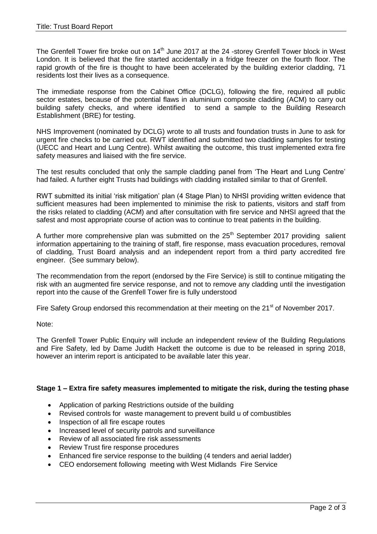The Grenfell Tower fire broke out on  $14<sup>th</sup>$  June 2017 at the 24 -storey Grenfell Tower block in West London. It is believed that the fire started accidentally in a fridge freezer on the fourth floor. The rapid growth of the fire is thought to have been accelerated by the building exterior cladding, 71 residents lost their lives as a consequence.

The immediate response from the Cabinet Office (DCLG), following the fire, required all public sector estates, because of the potential flaws in aluminium composite cladding (ACM) to carry out building safety checks, and where identified to send a sample to the Building Research Establishment (BRE) for testing.

NHS Improvement (nominated by DCLG) wrote to all trusts and foundation trusts in June to ask for urgent fire checks to be carried out. RWT identified and submitted two cladding samples for testing (UECC and Heart and Lung Centre). Whilst awaiting the outcome, this trust implemented extra fire safety measures and liaised with the fire service.

The test results concluded that only the sample cladding panel from 'The Heart and Lung Centre' had failed. A further eight Trusts had buildings with cladding installed similar to that of Grenfell.

RWT submitted its initial 'risk mitigation' plan (4 Stage Plan) to NHSI providing written evidence that sufficient measures had been implemented to minimise the risk to patients, visitors and staff from the risks related to cladding (ACM) and after consultation with fire service and NHSI agreed that the safest and most appropriate course of action was to continue to treat patients in the building.

A further more comprehensive plan was submitted on the  $25<sup>th</sup>$  September 2017 providing salient information appertaining to the training of staff, fire response, mass evacuation procedures, removal of cladding, Trust Board analysis and an independent report from a third party accredited fire engineer. (See summary below).

The recommendation from the report (endorsed by the Fire Service) is still to continue mitigating the risk with an augmented fire service response, and not to remove any cladding until the investigation report into the cause of the Grenfell Tower fire is fully understood

Fire Safety Group endorsed this recommendation at their meeting on the  $21^{st}$  of November 2017.

Note:

The Grenfell Tower Public Enquiry will include an independent review of the Building Regulations and Fire Safety, led by Dame Judith Hackett the outcome is due to be released in spring 2018, however an interim report is anticipated to be available later this year.

### **Stage 1 – Extra fire safety measures implemented to mitigate the risk, during the testing phase**

- Application of parking Restrictions outside of the building
- Revised controls for waste management to prevent build u of combustibles
- Inspection of all fire escape routes
- Increased level of security patrols and surveillance
- Review of all associated fire risk assessments
- Review Trust fire response procedures
- Enhanced fire service response to the building (4 tenders and aerial ladder)
- CEO endorsement following meeting with West Midlands Fire Service